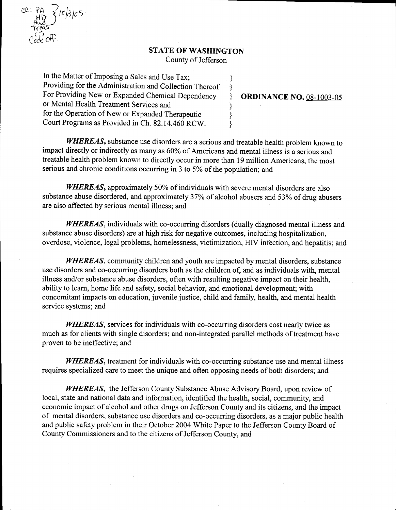### STATE OF WASHINGTON

County of Jefferson

ł ₹  $\mathcal{S}$ ł  $\}$ ł

In the Matter of Imposing a Sales and Use Tax; Providing for the Administration and Collection Thereof For Providing New or Expanded Chemical Dependency or Mental Health Treatment Services and for the Operation of New or Expanded Therapeutic Court Programs as Provided in Ch. 82.14.460 RCW.

 $cc: P_{HD} \leqslant c/3/c5$ 

 $\sum_{k=1}^{\infty}$ Cace Ott

PA<br>Auc<br>Treas<br>CD

### **ORDINANCE NO. 08-1003-05**

WHEREAS, substance use disorders are a serious and treatable health problem known to impact directly or indirectly as many as 60% of Americans and mental illness is a serious and treatable health problem known to directly occur in more than 19 million Americans, the most serious and chronic conditions occurring in  $3$  to  $5\%$  of the population; and

WHEREAS, approximately 50% of individuals with severe mental disorders are also substance abuse disordered, and approximately 37% of alcohol abusers and 53% of drug abusers are also affected by serious mental illness; and

WHEREAS, individuals with co-occurring disorders (dually diagnosed mental illness and substance abuse disorders) are at high risk for negative outcomes, including hospitalization, overdose, violence, legal problems, homelessness, victimization. HIV infection, and hepatitis; and

WHEREAS, community children and youth are impacted by mental disorders, substance use disorders and co-occurring disorders both as the children of, and as individuals with, mental illness and/or substance abuse disorders, often with resulting negative impact on their health. ability to learn, home life and safety, social behavior, and emotional development; with concomitant impacts on education, juvenile justice, child and family, health, and mental health service systems; and

WHEREAS, services for individuals with co-occurring disorders cost nearly twice as much as for clients with single disorders; and non-integrated parallel methods of treatment have proven to be ineffective; and

WHEREAS, treatment for individuals with co-occurring substance use and mental illness requires specialized care to meet the unique and often opposing needs of both disorders; and

WHEREAS, the Jefferson County Substance Abuse Advisory Board, upon review of local, state and national data and information, identified the health, social, community, and economic impact of alcohol and other drugs on Jefferson County and its citizens, and the impact of mental disorders, substance use disorders and co-occurring disorders, as a major public health and public safety problem in their October 2004 White Paper to the Jefferson County Board of County Commissioners and to the citizens of Jefferson County, and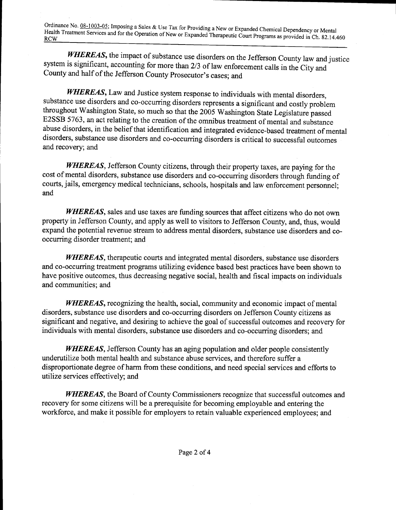Ordinance No. 08-1003-05; Imposing a Sales & Use Tax for Providing a New or Expanded Chemical Dependency or Mental Health Treatment Services and for the Operation of New or Expanded Therapeutic Court Programs as provided i

WHEREAS, the impact of substance use disorders on the Jefferson County law and justice system is significant, accounting for more than 2/3 of law enforcement calls in the City and County and half of the Jefferson County Prosecutor's cases; and

WHEREAS, Law and Justice system response to individuals with mental disorders, substance use disorders and co-occurring disorders represents a significant and costly problem throughout Washington State, so much so that the 2005 Washington State Legislature passed E2SSB 5763, an act relating to the creation of the omnibus treatment of mental and substance abuse disorders, in the belief that identification and integrated evidence-based treatment of mental disorders, substance use disorders and co-occurring disorders is critical to successful outcomes and recovery; and

WHEREAS, Jefferson County citizens, through their property taxes, are paying for the cost of mental disorders, substance use disorders and co-occurring disorders through funding of courts, jails, emergency medical technicians, schools, hospitals and law enforcement personnel; and

WHEREAS, sales and use taxes are funding sources that affect citizens who do not own property in Jefferson County, and apply as well to visitors to Jefferson County, and, thus, would expand the potential revenue stream to address mental disorders, substance use disorders and cooccurring disorder treatment; and

WHEREAS, therapeutic courts and integrated mental disorders, substance use disorders and co occurring treatment programs utilizing evidence based best practices have been shown to have positive outcomes, thus decreasing negative social, health and fiscal impacts on individuals and communities; and

**WHEREAS**, recognizing the health, social, community and economic impact of mental disorders, substance use disorders and co-occurring disorders on Jefferson County citizens as significant and negative, and desiring to achieve the goal of successful outcomes and recovery for individuals with mental disorders, substance use disorders and co-occurring disorders; and

WHEREAS, Jefferson County has an aging population and older people consistently underutilize both mental health and substance abuse services, and therefore suffer a disproportionate degree of harm from these conditions, and need special services and efforts to utilize services effectively; and

**WHEREAS**, the Board of County Commissioners recognize that successful outcomes and recovery for some citizens will be aprerequisite for becoming employable and entering the workforce, and make it possible for employers to retain valuable experienced employees; and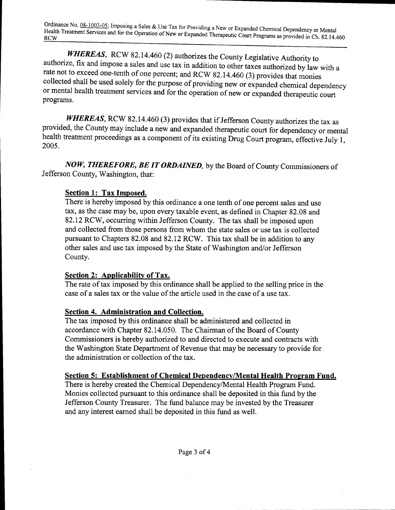Ordinance No. 08-1003-05; Imposing a Sales & Use Tax for Providing a New or Expanded Chemical Dependency or Mental Health Treatment Services and for the Operation of New or Expanded Therapeutic Court Programs as provided i

WHEREAS, RCW 82.14.460 (2) authorizes the County Legislative Authority to authorize, fix and impose a sales and use tax in addition to other taxes authorized by law with a rate not to exceed one-tenth of one percent; and RCW 82.14.460 (3) provides that monies collected shall be used solely for the purpose of providing new or expanded chemical dependency or mental health treatment services and for the operation of new or expanded therapeutic court programs

WHEREAS, RCW 82.14.460 (3) provides that if Jefferson County authorizes the tax as provided, the County may include a new and expanded therapeutic court for dependency or mental health treatment proceedings as a component of its existing Drug Court program, effective July 1 2005

NOW, THEREFORE, BE IT ORDAINED, by the Board of County Commissioners of Jefferson County, Washington, that:

## Section 1: Tax Imposed.

There is hereby imposed by this ordinance a one tenth of one percent sales and use tax, as the case may be, upon every taxable event, as defined in Chapter 82.08 and 82.12 RCW, occurring within Jefferson County. The tax shall be imposed upon and collected from those persons from whom the state sales or use tax is collected pursuant to Chapters 82.08 and 82.12 RCW. This tax shall be in addition to any other sales and use tax imposed by the State of Washington and/or Jefferson County

### Section 2: Applicability of Tax.

The rate of tax imposed by this ordinance shall be applied to the selling price in the case of a sales tax or the value of the article used in the case of a use tax.

# Section 4. Administration and Collection.

The tax imposed by this ordinance shall be administered and collected in accordance with Chapter 82.14.050. The Chairman of the Board of County Commissioners is hereby authorized to and directed to execute and contracts with the Washington State Department of Revenue that may be necessary to provide for the administration or collection of the tax.

### Section 5: Establishment of Chemical Dependency/Mental Health Program Fund.

There is hereby created the Chemical Dependency/Mental Health Program Fund. Monies collected pursuant to this ordinance shall be deposited in this fund by the Jefferson County Treasurer. The fund balance may be invested by the Treasurer and any interest earned shall be deposited in this fund as well